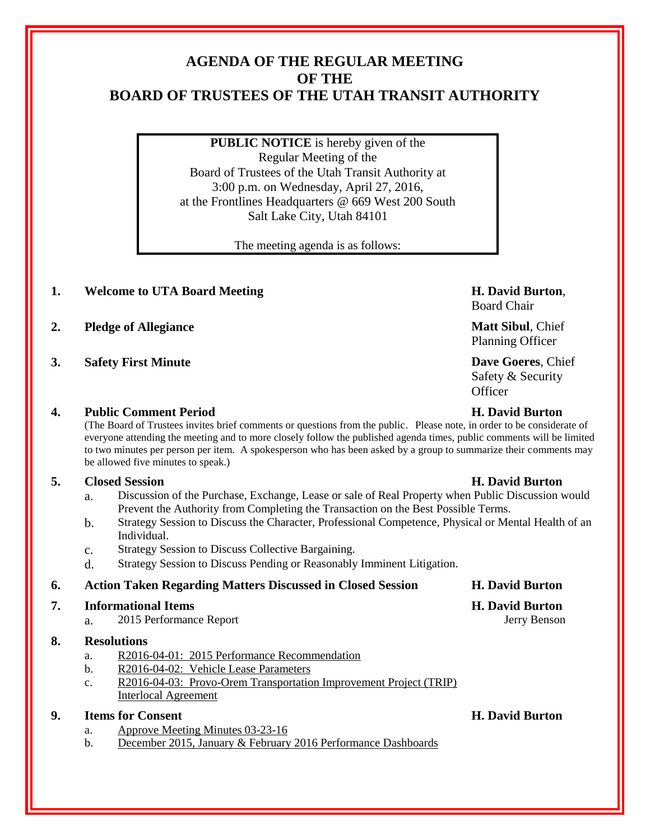# **AGENDA OF THE REGULAR MEETING OF THE BOARD OF TRUSTEES OF THE UTAH TRANSIT AUTHORITY**

**PUBLIC NOTICE** is hereby given of the Regular Meeting of the Board of Trustees of the Utah Transit Authority at 3:00 p.m. on Wednesday, April 27, 2016, at the Frontlines Headquarters @ 669 West 200 South Salt Lake City, Utah 84101

The meeting agenda is as follows:

## **1. Welcome to UTA Board Meeting H. David Burton**,

- **2. Pledge of Allegiance Matt Sibul**, Chief
- **3. Safety First Minute Dave Goeres**, Chief

## **4. Public Comment Period H. David Burton**

(The Board of Trustees invites brief comments or questions from the public. Please note, in order to be considerate of everyone attending the meeting and to more closely follow the published agenda times, public comments will be limited to two minutes per person per item. A spokesperson who has been asked by a group to summarize their comments may be allowed five minutes to speak.)

## **5. Closed Session H. David Burton**

- a. Discussion of the Purchase, Exchange, Lease or sale of Real Property when Public Discussion would Prevent the Authority from Completing the Transaction on the Best Possible Terms.
- b. Strategy Session to Discuss the Character, Professional Competence, Physical or Mental Health of an Individual.
- c. Strategy Session to Discuss Collective Bargaining.
- d. Strategy Session to Discuss Pending or Reasonably Imminent Litigation.

### **6. Action Taken Regarding Matters Discussed in Closed Session H. David Burton**

### **7. Informational Items H. David Burton**

a. 2015 Performance Report Jerry Benson

### **8. Resolutions**

- a. R2016-04-01: 2015 Performance Recommendation
- b. R2016-04-02: Vehicle Lease Parameters
- c. R2016-04-03: Provo-Orem Transportation Improvement Project (TRIP) Interlocal Agreement

### **9. Items for Consent H. David Burton**

- a. Approve Meeting Minutes 03-23-16
- b. December 2015, January & February 2016 Performance Dashboards

Board Chair

Planning Officer

Safety & Security **Officer**